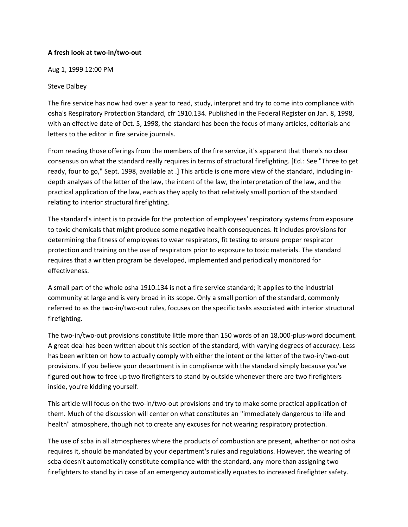## A fresh look at two-in/two-out

Aug 1, 1999 12:00 PM

## Steve Dalbey

The fire service has now had over a year to read, study, interpret and try to come into compliance with osha's Respiratory Protection Standard, cfr 1910.134. Published in the Federal Register on Jan. 8, 1998, with an effective date of Oct. 5, 1998, the standard has been the focus of many articles, editorials and letters to the editor in fire service journals.

From reading those offerings from the members of the fire service, it's apparent that there's no clear consensus on what the standard really requires in terms of structural firefighting. [Ed.: See "Three to get ready, four to go," Sept. 1998, available at .] This article is one more view of the standard, including indepth analyses of the letter of the law, the intent of the law, the interpretation of the law, and the practical application of the law, each as they apply to that relatively small portion of the standard relating to interior structural firefighting.

The standard's intent is to provide for the protection of employees' respiratory systems from exposure to toxic chemicals that might produce some negative health consequences. It includes provisions for determining the fitness of employees to wear respirators, fit testing to ensure proper respirator protection and training on the use of respirators prior to exposure to toxic materials. The standard requires that a written program be developed, implemented and periodically monitored for effectiveness.

A small part of the whole osha 1910.134 is not a fire service standard; it applies to the industrial community at large and is very broad in its scope. Only a small portion of the standard, commonly referred to as the two-in/two-out rules, focuses on the specific tasks associated with interior structural firefighting.

The two-in/two-out provisions constitute little more than 150 words of an 18,000-plus-word document. A great deal has been written about this section of the standard, with varying degrees of accuracy. Less has been written on how to actually comply with either the intent or the letter of the two-in/two-out provisions. If you believe your department is in compliance with the standard simply because you've figured out how to free up two firefighters to stand by outside whenever there are two firefighters inside, you're kidding yourself.

This article will focus on the two-in/two-out provisions and try to make some practical application of them. Much of the discussion will center on what constitutes an "immediately dangerous to life and health" atmosphere, though not to create any excuses for not wearing respiratory protection.

The use of scba in all atmospheres where the products of combustion are present, whether or not osha requires it, should be mandated by your department's rules and regulations. However, the wearing of scba doesn't automatically constitute compliance with the standard, any more than assigning two firefighters to stand by in case of an emergency automatically equates to increased firefighter safety.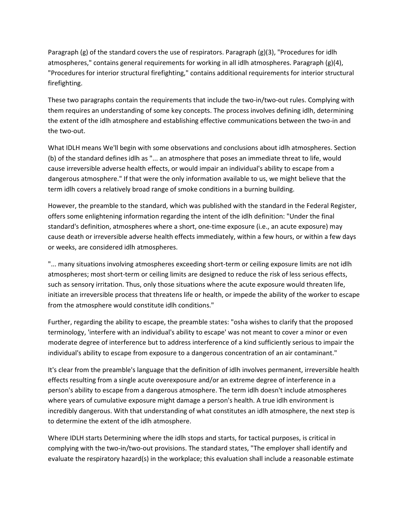Paragraph (g) of the standard covers the use of respirators. Paragraph (g)(3), "Procedures for idlh atmospheres," contains general requirements for working in all idlh atmospheres. Paragraph (g)(4), "Procedures for interior structural firefighting," contains additional requirements for interior structural firefighting.

These two paragraphs contain the requirements that include the two-in/two-out rules. Complying with them requires an understanding of some key concepts. The process involves defining idlh, determining the extent of the idlh atmosphere and establishing effective communications between the two-in and the two-out.

What IDLH means We'll begin with some observations and conclusions about idlh atmospheres. Section (b) of the standard defines idlh as "... an atmosphere that poses an immediate threat to life, would cause irreversible adverse health effects, or would impair an individual's ability to escape from a dangerous atmosphere." If that were the only information available to us, we might believe that the term idlh covers a relatively broad range of smoke conditions in a burning building.

However, the preamble to the standard, which was published with the standard in the Federal Register, offers some enlightening information regarding the intent of the idlh definition: "Under the final standard's definition, atmospheres where a short, one-time exposure (i.e., an acute exposure) may cause death or irreversible adverse health effects immediately, within a few hours, or within a few days or weeks, are considered idlh atmospheres.

"... many situations involving atmospheres exceeding short-term or ceiling exposure limits are not idlh atmospheres; most short-term or ceiling limits are designed to reduce the risk of less serious effects, such as sensory irritation. Thus, only those situations where the acute exposure would threaten life, initiate an irreversible process that threatens life or health, or impede the ability of the worker to escape from the atmosphere would constitute idlh conditions."

Further, regarding the ability to escape, the preamble states: "osha wishes to clarify that the proposed terminology, 'interfere with an individual's ability to escape' was not meant to cover a minor or even moderate degree of interference but to address interference of a kind sufficiently serious to impair the individual's ability to escape from exposure to a dangerous concentration of an air contaminant."

It's clear from the preamble's language that the definition of idlh involves permanent, irreversible health effects resulting from a single acute overexposure and/or an extreme degree of interference in a person's ability to escape from a dangerous atmosphere. The term idlh doesn't include atmospheres where years of cumulative exposure might damage a person's health. A true idlh environment is incredibly dangerous. With that understanding of what constitutes an idlh atmosphere, the next step is to determine the extent of the idlh atmosphere.

Where IDLH starts Determining where the idlh stops and starts, for tactical purposes, is critical in complying with the two-in/two-out provisions. The standard states, "The employer shall identify and evaluate the respiratory hazard(s) in the workplace; this evaluation shall include a reasonable estimate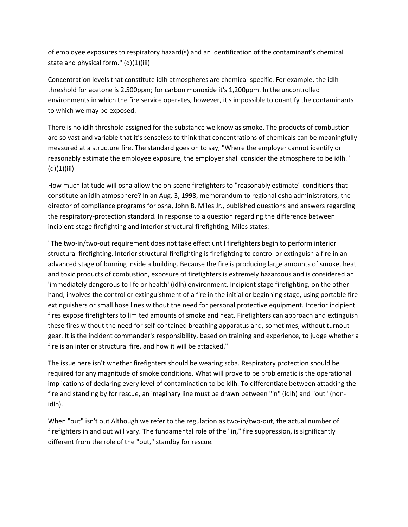of employee exposures to respiratory hazard(s) and an identification of the contaminant's chemical state and physical form." (d)(1)(iii)

Concentration levels that constitute idlh atmospheres are chemical-specific. For example, the idlh threshold for acetone is 2,500ppm; for carbon monoxide it's 1,200ppm. In the uncontrolled environments in which the fire service operates, however, it's impossible to quantify the contaminants to which we may be exposed.

There is no idlh threshold assigned for the substance we know as smoke. The products of combustion are so vast and variable that it's senseless to think that concentrations of chemicals can be meaningfully measured at a structure fire. The standard goes on to say, "Where the employer cannot identify or reasonably estimate the employee exposure, the employer shall consider the atmosphere to be idlh."  $(d)(1)(iii)$ 

How much latitude will osha allow the on-scene firefighters to "reasonably estimate" conditions that constitute an idlh atmosphere? In an Aug. 3, 1998, memorandum to regional osha administrators, the director of compliance programs for osha, John B. Miles Jr., published questions and answers regarding the respiratory-protection standard. In response to a question regarding the difference between incipient-stage firefighting and interior structural firefighting, Miles states:

"The two-in/two-out requirement does not take effect until firefighters begin to perform interior structural firefighting. Interior structural firefighting is firefighting to control or extinguish a fire in an advanced stage of burning inside a building. Because the fire is producing large amounts of smoke, heat and toxic products of combustion, exposure of firefighters is extremely hazardous and is considered an 'immediately dangerous to life or health' (idlh) environment. Incipient stage firefighting, on the other hand, involves the control or extinguishment of a fire in the initial or beginning stage, using portable fire extinguishers or small hose lines without the need for personal protective equipment. Interior incipient fires expose firefighters to limited amounts of smoke and heat. Firefighters can approach and extinguish these fires without the need for self-contained breathing apparatus and, sometimes, without turnout gear. It is the incident commander's responsibility, based on training and experience, to judge whether a fire is an interior structural fire, and how it will be attacked."

The issue here isn't whether firefighters should be wearing scba. Respiratory protection should be required for any magnitude of smoke conditions. What will prove to be problematic is the operational implications of declaring every level of contamination to be idlh. To differentiate between attacking the fire and standing by for rescue, an imaginary line must be drawn between "in" (idlh) and "out" (nonidlh).

When "out" isn't out Although we refer to the regulation as two-in/two-out, the actual number of firefighters in and out will vary. The fundamental role of the "in," fire suppression, is significantly different from the role of the "out," standby for rescue.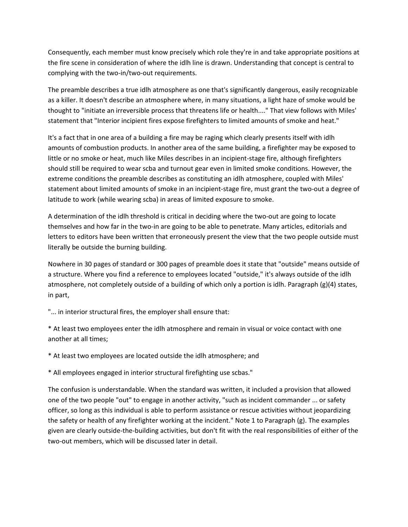Consequently, each member must know precisely which role they're in and take appropriate positions at the fire scene in consideration of where the idlh line is drawn. Understanding that concept is central to complying with the two-in/two-out requirements.

The preamble describes a true idlh atmosphere as one that's significantly dangerous, easily recognizable as a killer. It doesn't describe an atmosphere where, in many situations, a light haze of smoke would be thought to "initiate an irreversible process that threatens life or health...." That view follows with Miles' statement that "Interior incipient fires expose firefighters to limited amounts of smoke and heat."

It's a fact that in one area of a building a fire may be raging which clearly presents itself with idlh amounts of combustion products. In another area of the same building, a firefighter may be exposed to little or no smoke or heat, much like Miles describes in an incipient-stage fire, although firefighters should still be required to wear scba and turnout gear even in limited smoke conditions. However, the extreme conditions the preamble describes as constituting an idlh atmosphere, coupled with Miles' statement about limited amounts of smoke in an incipient-stage fire, must grant the two-out a degree of latitude to work (while wearing scba) in areas of limited exposure to smoke.

A determination of the idlh threshold is critical in deciding where the two-out are going to locate themselves and how far in the two-in are going to be able to penetrate. Many articles, editorials and letters to editors have been written that erroneously present the view that the two people outside must literally be outside the burning building.

Nowhere in 30 pages of standard or 300 pages of preamble does it state that "outside" means outside of a structure. Where you find a reference to employees located "outside," it's always outside of the idlh atmosphere, not completely outside of a building of which only a portion is idlh. Paragraph (g)(4) states, in part,

"... in interior structural fires, the employer shall ensure that:

\* At least two employees enter the idlh atmosphere and remain in visual or voice contact with one another at all times;

\* At least two employees are located outside the idlh atmosphere; and

\* All employees engaged in interior structural firefighting use scbas."

The confusion is understandable. When the standard was written, it included a provision that allowed one of the two people "out" to engage in another activity, "such as incident commander ... or safety officer, so long as this individual is able to perform assistance or rescue activities without jeopardizing the safety or health of any firefighter working at the incident." Note 1 to Paragraph (g). The examples given are clearly outside-the-building activities, but don't fit with the real responsibilities of either of the two-out members, which will be discussed later in detail.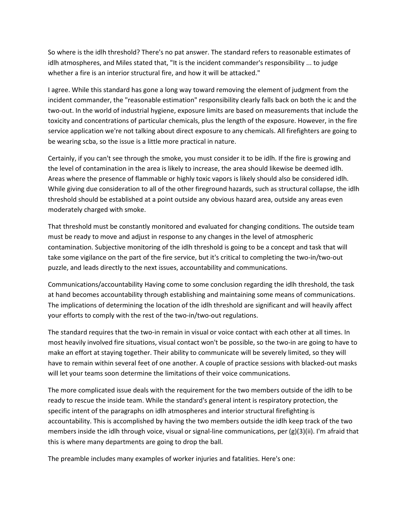So where is the idlh threshold? There's no pat answer. The standard refers to reasonable estimates of idlh atmospheres, and Miles stated that, "It is the incident commander's responsibility ... to judge whether a fire is an interior structural fire, and how it will be attacked."

I agree. While this standard has gone a long way toward removing the element of judgment from the incident commander, the "reasonable estimation" responsibility clearly falls back on both the ic and the two-out. In the world of industrial hygiene, exposure limits are based on measurements that include the toxicity and concentrations of particular chemicals, plus the length of the exposure. However, in the fire service application we're not talking about direct exposure to any chemicals. All firefighters are going to be wearing scba, so the issue is a little more practical in nature.

Certainly, if you can't see through the smoke, you must consider it to be idlh. If the fire is growing and the level of contamination in the area is likely to increase, the area should likewise be deemed idlh. Areas where the presence of flammable or highly toxic vapors is likely should also be considered idlh. While giving due consideration to all of the other fireground hazards, such as structural collapse, the idlh threshold should be established at a point outside any obvious hazard area, outside any areas even moderately charged with smoke.

That threshold must be constantly monitored and evaluated for changing conditions. The outside team must be ready to move and adjust in response to any changes in the level of atmospheric contamination. Subjective monitoring of the idlh threshold is going to be a concept and task that will take some vigilance on the part of the fire service, but it's critical to completing the two-in/two-out puzzle, and leads directly to the next issues, accountability and communications.

Communications/accountability Having come to some conclusion regarding the idlh threshold, the task at hand becomes accountability through establishing and maintaining some means of communications. The implications of determining the location of the idlh threshold are significant and will heavily affect your efforts to comply with the rest of the two-in/two-out regulations.

The standard requires that the two-in remain in visual or voice contact with each other at all times. In most heavily involved fire situations, visual contact won't be possible, so the two-in are going to have to make an effort at staying together. Their ability to communicate will be severely limited, so they will have to remain within several feet of one another. A couple of practice sessions with blacked-out masks will let your teams soon determine the limitations of their voice communications.

The more complicated issue deals with the requirement for the two members outside of the idlh to be ready to rescue the inside team. While the standard's general intent is respiratory protection, the specific intent of the paragraphs on idlh atmospheres and interior structural firefighting is accountability. This is accomplished by having the two members outside the idlh keep track of the two members inside the idlh through voice, visual or signal-line communications, per (g)(3)(ii). I'm afraid that this is where many departments are going to drop the ball.

The preamble includes many examples of worker injuries and fatalities. Here's one: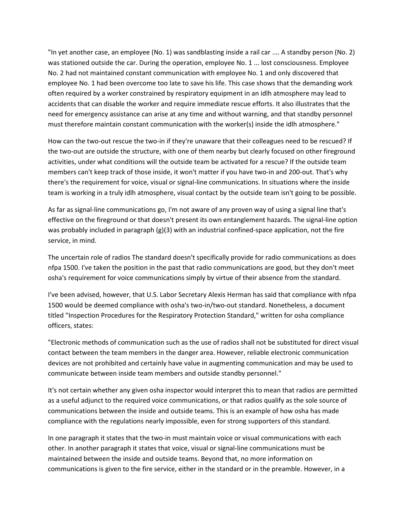"In yet another case, an employee (No. 1) was sandblasting inside a rail car .... A standby person (No. 2) was stationed outside the car. During the operation, employee No. 1 ... lost consciousness. Employee No. 2 had not maintained constant communication with employee No. 1 and only discovered that employee No. 1 had been overcome too late to save his life. This case shows that the demanding work often required by a worker constrained by respiratory equipment in an idlh atmosphere may lead to accidents that can disable the worker and require immediate rescue efforts. It also illustrates that the need for emergency assistance can arise at any time and without warning, and that standby personnel must therefore maintain constant communication with the worker(s) inside the idlh atmosphere."

How can the two-out rescue the two-in if they're unaware that their colleagues need to be rescued? If the two-out are outside the structure, with one of them nearby but clearly focused on other fireground activities, under what conditions will the outside team be activated for a rescue? If the outside team members can't keep track of those inside, it won't matter if you have two-in and 200-out. That's why there's the requirement for voice, visual or signal-line communications. In situations where the inside team is working in a truly idlh atmosphere, visual contact by the outside team isn't going to be possible.

As far as signal-line communications go, I'm not aware of any proven way of using a signal line that's effective on the fireground or that doesn't present its own entanglement hazards. The signal-line option was probably included in paragraph (g)(3) with an industrial confined-space application, not the fire service, in mind.

The uncertain role of radios The standard doesn't specifically provide for radio communications as does nfpa 1500. I've taken the position in the past that radio communications are good, but they don't meet osha's requirement for voice communications simply by virtue of their absence from the standard.

I've been advised, however, that U.S. Labor Secretary Alexis Herman has said that compliance with nfpa 1500 would be deemed compliance with osha's two-in/two-out standard. Nonetheless, a document titled "Inspection Procedures for the Respiratory Protection Standard," written for osha compliance officers, states:

"Electronic methods of communication such as the use of radios shall not be substituted for direct visual contact between the team members in the danger area. However, reliable electronic communication devices are not prohibited and certainly have value in augmenting communication and may be used to communicate between inside team members and outside standby personnel."

It's not certain whether any given osha inspector would interpret this to mean that radios are permitted as a useful adjunct to the required voice communications, or that radios qualify as the sole source of communications between the inside and outside teams. This is an example of how osha has made compliance with the regulations nearly impossible, even for strong supporters of this standard.

In one paragraph it states that the two-in must maintain voice or visual communications with each other. In another paragraph it states that voice, visual or signal-line communications must be maintained between the inside and outside teams. Beyond that, no more information on communications is given to the fire service, either in the standard or in the preamble. However, in a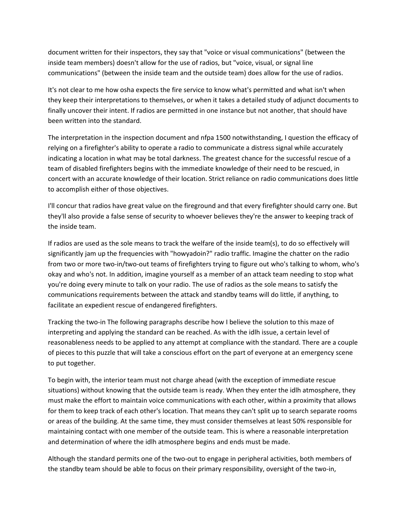document written for their inspectors, they say that "voice or visual communications" (between the inside team members) doesn't allow for the use of radios, but "voice, visual, or signal line communications" (between the inside team and the outside team) does allow for the use of radios.

It's not clear to me how osha expects the fire service to know what's permitted and what isn't when they keep their interpretations to themselves, or when it takes a detailed study of adjunct documents to finally uncover their intent. If radios are permitted in one instance but not another, that should have been written into the standard.

The interpretation in the inspection document and nfpa 1500 notwithstanding, I question the efficacy of relying on a firefighter's ability to operate a radio to communicate a distress signal while accurately indicating a location in what may be total darkness. The greatest chance for the successful rescue of a team of disabled firefighters begins with the immediate knowledge of their need to be rescued, in concert with an accurate knowledge of their location. Strict reliance on radio communications does little to accomplish either of those objectives.

I'll concur that radios have great value on the fireground and that every firefighter should carry one. But they'll also provide a false sense of security to whoever believes they're the answer to keeping track of the inside team.

If radios are used as the sole means to track the welfare of the inside team(s), to do so effectively will significantly jam up the frequencies with "howyadoin?" radio traffic. Imagine the chatter on the radio from two or more two-in/two-out teams of firefighters trying to figure out who's talking to whom, who's okay and who's not. In addition, imagine yourself as a member of an attack team needing to stop what you're doing every minute to talk on your radio. The use of radios as the sole means to satisfy the communications requirements between the attack and standby teams will do little, if anything, to facilitate an expedient rescue of endangered firefighters.

Tracking the two-in The following paragraphs describe how I believe the solution to this maze of interpreting and applying the standard can be reached. As with the idlh issue, a certain level of reasonableness needs to be applied to any attempt at compliance with the standard. There are a couple of pieces to this puzzle that will take a conscious effort on the part of everyone at an emergency scene to put together.

To begin with, the interior team must not charge ahead (with the exception of immediate rescue situations) without knowing that the outside team is ready. When they enter the idlh atmosphere, they must make the effort to maintain voice communications with each other, within a proximity that allows for them to keep track of each other's location. That means they can't split up to search separate rooms or areas of the building. At the same time, they must consider themselves at least 50% responsible for maintaining contact with one member of the outside team. This is where a reasonable interpretation and determination of where the idlh atmosphere begins and ends must be made.

Although the standard permits one of the two-out to engage in peripheral activities, both members of the standby team should be able to focus on their primary responsibility, oversight of the two-in,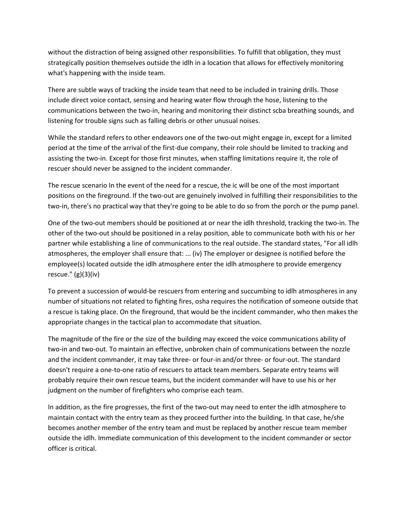without the distraction of being assigned other responsibilities. To fulfill that obligation, they must strategically position themselves outside the idlh in a location that allows for effectively monitoring what's happening with the inside team.

There are subtle ways of tracking the inside team that need to be included in training drills. Those include direct voice contact, sensing and hearing water flow through the hose, listening to the communications between the two-in, hearing and monitoring their distinct scba breathing sounds, and listening for trouble signs such as falling debris or other unusual noises.

While the standard refers to other endeavors one of the two-out might engage in, except for a limited period at the time of the arrival of the first-due company, their role should be limited to tracking and assisting the two-in. Except for those first minutes, when staffing limitations require it, the role of rescuer should never be assigned to the incident commander.

The rescue scenario In the event of the need for a rescue, the ic will be one of the most important positions on the fireground. If the two-out are genuinely involved in fulfilling their responsibilities to the two-in, there's no practical way that they're going to be able to do so from the porch or the pump panel.

One of the two-out members should be positioned at or near the idlh threshold, tracking the two-in. The other of the two-out should be positioned in a relay position, able to communicate both with his or her partner while establishing a line of communications to the real outside. The standard states, "For all idlh atmospheres, the employer shall ensure that: ... (iv) The employer or designee is notified before the employee(s) located outside the idlh atmosphere enter the idlh atmosphere to provide emergency rescue." (g)(3)(iv)

To prevent a succession of would-be rescuers from entering and succumbing to idlh atmospheres in any number of situations not related to fighting fires, osha requires the notification of someone outside that a rescue is taking place. On the fireground, that would be the incident commander, who then makes the appropriate changes in the tactical plan to accommodate that situation.

The magnitude of the fire or the size of the building may exceed the voice communications ability of two-in and two-out. To maintain an effective, unbroken chain of communications between the nozzle and the incident commander, it may take three- or four-in and/or three- or four-out. The standard doesn't require a one-to-one ratio of rescuers to attack team members. Separate entry teams will probably require their own rescue teams, but the incident commander will have to use his or her judgment on the number of firefighters who comprise each team.

In addition, as the fire progresses, the first of the two-out may need to enter the idlh atmosphere to maintain contact with the entry team as they proceed further into the building. In that case, he/she becomes another member of the entry team and must be replaced by another rescue team member outside the idlh. Immediate communication of this development to the incident commander or sector officer is critical.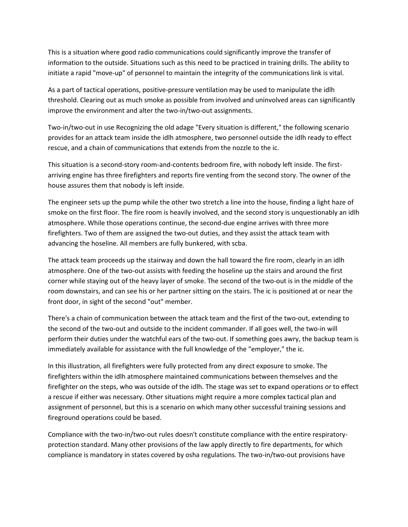This is a situation where good radio communications could significantly improve the transfer of information to the outside. Situations such as this need to be practiced in training drills. The ability to initiate a rapid "move-up" of personnel to maintain the integrity of the communications link is vital.

As a part of tactical operations, positive-pressure ventilation may be used to manipulate the idlh threshold. Clearing out as much smoke as possible from involved and uninvolved areas can significantly improve the environment and alter the two-in/two-out assignments.

Two-in/two-out in use Recognizing the old adage "Every situation is different," the following scenario provides for an attack team inside the idlh atmosphere, two personnel outside the idlh ready to effect rescue, and a chain of communications that extends from the nozzle to the ic.

This situation is a second-story room-and-contents bedroom fire, with nobody left inside. The firstarriving engine has three firefighters and reports fire venting from the second story. The owner of the house assures them that nobody is left inside.

The engineer sets up the pump while the other two stretch a line into the house, finding a light haze of smoke on the first floor. The fire room is heavily involved, and the second story is unquestionably an idlh atmosphere. While those operations continue, the second-due engine arrives with three more firefighters. Two of them are assigned the two-out duties, and they assist the attack team with advancing the hoseline. All members are fully bunkered, with scba.

The attack team proceeds up the stairway and down the hall toward the fire room, clearly in an idlh atmosphere. One of the two-out assists with feeding the hoseline up the stairs and around the first corner while staying out of the heavy layer of smoke. The second of the two-out is in the middle of the room downstairs, and can see his or her partner sitting on the stairs. The ic is positioned at or near the front door, in sight of the second "out" member.

There's a chain of communication between the attack team and the first of the two-out, extending to the second of the two-out and outside to the incident commander. If all goes well, the two-in will perform their duties under the watchful ears of the two-out. If something goes awry, the backup team is immediately available for assistance with the full knowledge of the "employer," the ic.

In this illustration, all firefighters were fully protected from any direct exposure to smoke. The firefighters within the idlh atmosphere maintained communications between themselves and the firefighter on the steps, who was outside of the idlh. The stage was set to expand operations or to effect a rescue if either was necessary. Other situations might require a more complex tactical plan and assignment of personnel, but this is a scenario on which many other successful training sessions and fireground operations could be based.

Compliance with the two-in/two-out rules doesn't constitute compliance with the entire respiratoryprotection standard. Many other provisions of the law apply directly to fire departments, for which compliance is mandatory in states covered by osha regulations. The two-in/two-out provisions have